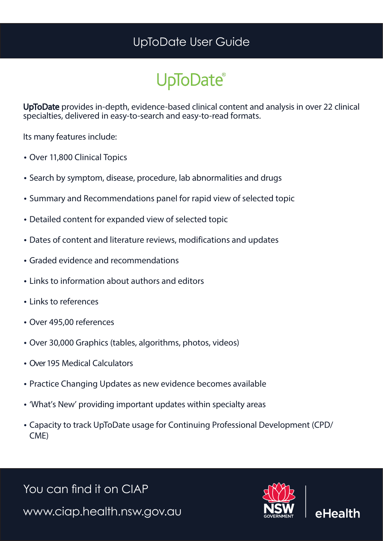## UpToDate User Guide

# UpToDate®

UpToDate provides in-depth, evidence-based clinical content and analysis in over 22 clinical specialties, delivered in easy-to-search and easy-to-read formats.

Its many features include:

- Over 11,800 Clinical Topics
- Search by symptom, disease, procedure, lab abnormalities and drugs
- Summary and Recommendations panel for rapid view of selected topic
- Detailed content for expanded view of selected topic
- Dates of content and literature reviews, modifications and updates
- Graded evidence and recommendations
- Links to information about authors and editors
- Links to references
- Over 495,00 references
- Over 30,000 Graphics (tables, algorithms, photos, videos)
- Over 195 Medical Calculators
- Practice Changing Updates as new evidence becomes available
- 'What's New' providing important updates within specialty areas
- Capacity to track UpToDate usage for Continuing Professional Development (CPD/ CME)

You can find it on CIAP www.ciap.health.nsw.gov.au

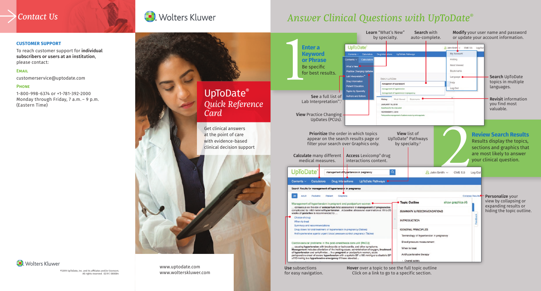# *Answer Clinical Questions with UpToDate®*



Use subsections for easy navigation. Hover over a topic to see the full topic outline Click on a link to go to a specific section.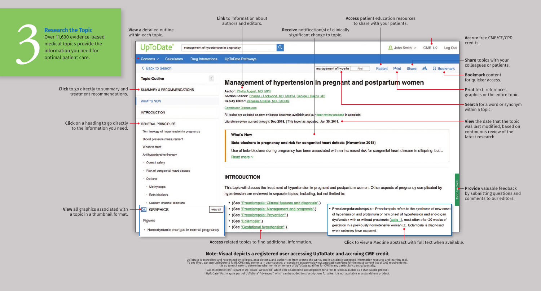

#### **Note: Visual depicts a registered user accessing UpToDate and accruing CME credit**

UpToDate is accredited and recognized by colleges, associations, and authorities from around the world, and is a globally accepted information resource and learning tool.<br>To see if you can use UpToDate to fulfill CME requi

1 Lab Interpretation™ is part of UpToDate® Advanced™ which can be added to subscriptions for a fee. It is not available as a standalone product. 2 UpToDate® Pathways is part of UpToDate® Advanced™ which can be added to subscriptions for a fee. It is not available as a standalone product.